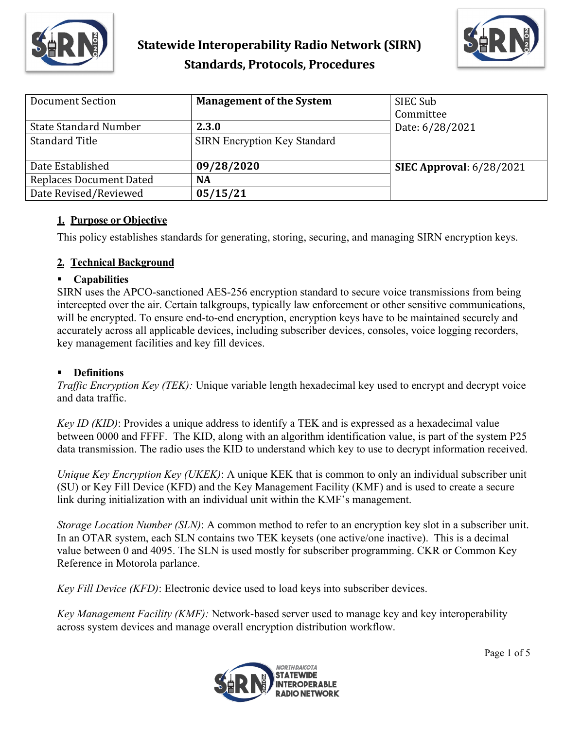



| Document Section             | <b>Management of the System</b>     | SIEC Sub<br>Committee      |
|------------------------------|-------------------------------------|----------------------------|
| <b>State Standard Number</b> | 2.3.0                               | Date: 6/28/2021            |
| <b>Standard Title</b>        | <b>SIRN Encryption Key Standard</b> |                            |
| Date Established             | 09/28/2020                          | SIEC Approval: $6/28/2021$ |
| Replaces Document Dated      | NA                                  |                            |
| Date Revised/Reviewed        | 05/15/21                            |                            |

## **1. Purpose or Objective**

This policy establishes standards for generating, storing, securing, and managing SIRN encryption keys.

## **2. Technical Background**

### **Capabilities**

SIRN uses the APCO-sanctioned AES-256 encryption standard to secure voice transmissions from being intercepted over the air. Certain talkgroups, typically law enforcement or other sensitive communications, will be encrypted. To ensure end-to-end encryption, encryption keys have to be maintained securely and accurately across all applicable devices, including subscriber devices, consoles, voice logging recorders, key management facilities and key fill devices.

# **Definitions**

*Traffic Encryption Key (TEK):* Unique variable length hexadecimal key used to encrypt and decrypt voice and data traffic.

*Key ID (KID)*: Provides a unique address to identify a TEK and is expressed as a hexadecimal value between 0000 and FFFF. The KID, along with an algorithm identification value, is part of the system P25 data transmission. The radio uses the KID to understand which key to use to decrypt information received.

*Unique Key Encryption Key (UKEK)*: A unique KEK that is common to only an individual subscriber unit (SU) or Key Fill Device (KFD) and the Key Management Facility (KMF) and is used to create a secure link during initialization with an individual unit within the KMF's management.

*Storage Location Number (SLN)*: A common method to refer to an encryption key slot in a subscriber unit. In an OTAR system, each SLN contains two TEK keysets (one active/one inactive). This is a decimal value between 0 and 4095. The SLN is used mostly for subscriber programming. CKR or Common Key Reference in Motorola parlance.

*Key Fill Device (KFD)*: Electronic device used to load keys into subscriber devices.

*Key Management Facility (KMF):* Network-based server used to manage key and key interoperability across system devices and manage overall encryption distribution workflow.

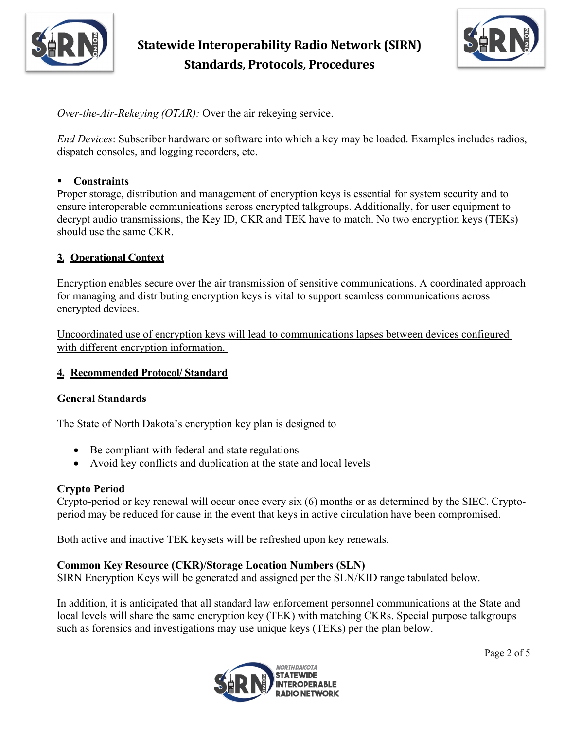



*Over-the-Air-Rekeying (OTAR):* Over the air rekeying service.

*End Devices*: Subscriber hardware or software into which a key may be loaded. Examples includes radios, dispatch consoles, and logging recorders, etc.

### **Constraints**

Proper storage, distribution and management of encryption keys is essential for system security and to ensure interoperable communications across encrypted talkgroups. Additionally, for user equipment to decrypt audio transmissions, the Key ID, CKR and TEK have to match. No two encryption keys (TEKs) should use the same CKR.

## **3. Operational Context**

Encryption enables secure over the air transmission of sensitive communications. A coordinated approach for managing and distributing encryption keys is vital to support seamless communications across encrypted devices.

Uncoordinated use of encryption keys will lead to communications lapses between devices configured with different encryption information.

### **4. Recommended Protocol/ Standard**

### **General Standards**

The State of North Dakota's encryption key plan is designed to

- Be compliant with federal and state regulations
- Avoid key conflicts and duplication at the state and local levels

### **Crypto Period**

Crypto-period or key renewal will occur once every six (6) months or as determined by the SIEC. Cryptoperiod may be reduced for cause in the event that keys in active circulation have been compromised.

Both active and inactive TEK keysets will be refreshed upon key renewals.

# **Common Key Resource (CKR)/Storage Location Numbers (SLN)**

SIRN Encryption Keys will be generated and assigned per the SLN/KID range tabulated below.

In addition, it is anticipated that all standard law enforcement personnel communications at the State and local levels will share the same encryption key (TEK) with matching CKRs. Special purpose talkgroups such as forensics and investigations may use unique keys (TEKs) per the plan below.

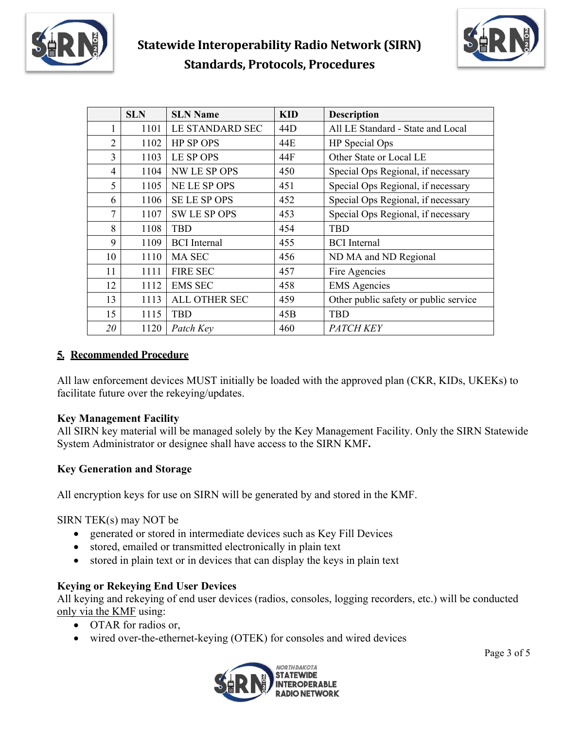



|    | <b>SLN</b> | <b>SLN Name</b>     | <b>KID</b>      | <b>Description</b>                    |
|----|------------|---------------------|-----------------|---------------------------------------|
| 1  | 1101       | LE STANDARD SEC     | 44 <sub>D</sub> | All LE Standard - State and Local     |
| 2  | 1102       | <b>HP SP OPS</b>    | 44E             | HP Special Ops                        |
| 3  | 1103       | LE SP OPS           | 44F             | Other State or Local LE               |
| 4  | 1104       | NW LE SP OPS        | 450             | Special Ops Regional, if necessary    |
| 5  | 1105       | NE LE SP OPS        | 451             | Special Ops Regional, if necessary    |
| 6  | 1106       | <b>SELE SPOPS</b>   | 452             | Special Ops Regional, if necessary    |
| 7  | 1107       | <b>SW LE SP OPS</b> | 453             | Special Ops Regional, if necessary    |
| 8  | 1108       | <b>TRD</b>          | 454             | <b>TBD</b>                            |
| 9  | 1109       | <b>BCI</b> Internal | 455             | <b>BCI</b> Internal                   |
| 10 | 1110       | <b>MA SEC</b>       | 456             | ND MA and ND Regional                 |
| 11 | 1111       | <b>FIRE SEC</b>     | 457             | Fire Agencies                         |
| 12 | 1112       | <b>EMS SEC</b>      | 458             | <b>EMS</b> Agencies                   |
| 13 | 1113       | ALL OTHER SEC       | 459             | Other public safety or public service |
| 15 | 1115       | <b>TBD</b>          | 45B             | <b>TBD</b>                            |
| 20 | 1120       | Patch Key           | 460             | <i>PATCH KEY</i>                      |

# **5. Recommended Procedure**

All law enforcement devices MUST initially be loaded with the approved plan (CKR, KIDs, UKEKs) to facilitate future over the rekeying/updates.

# **Key Management Facility**

All SIRN key material will be managed solely by the Key Management Facility. Only the SIRN Statewide System Administrator or designee shall have access to the SIRN KMF**.**

# **Key Generation and Storage**

All encryption keys for use on SIRN will be generated by and stored in the KMF.

SIRN TEK(s) may NOT be

- generated or stored in intermediate devices such as Key Fill Devices
- stored, emailed or transmitted electronically in plain text
- stored in plain text or in devices that can display the keys in plain text

# **Keying or Rekeying End User Devices**

All keying and rekeying of end user devices (radios, consoles, logging recorders, etc.) will be conducted only via the KMF using:

- OTAR for radios or,
- wired over-the-ethernet-keying (OTEK) for consoles and wired devices

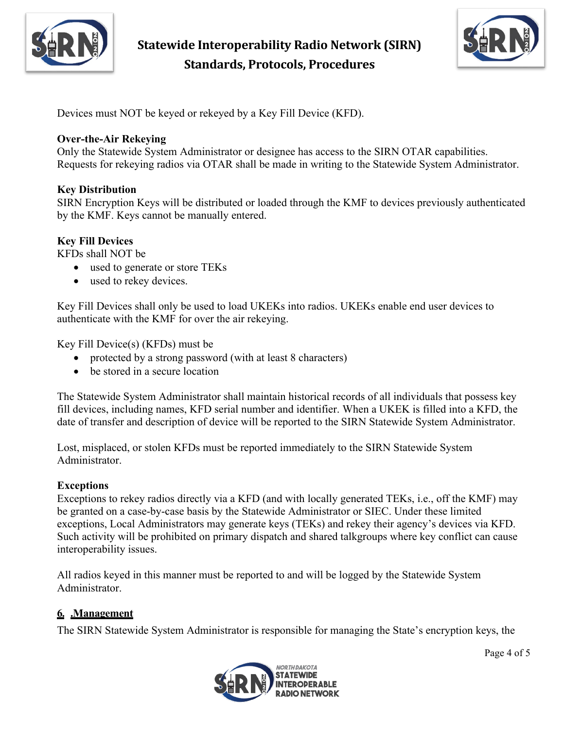

**Statewide Interoperability Radio Network (SIRN) Standards, Protocols, Procedures**



Devices must NOT be keyed or rekeyed by a Key Fill Device (KFD).

### **Over-the-Air Rekeying**

Only the Statewide System Administrator or designee has access to the SIRN OTAR capabilities. Requests for rekeying radios via OTAR shall be made in writing to the Statewide System Administrator.

## **Key Distribution**

SIRN Encryption Keys will be distributed or loaded through the KMF to devices previously authenticated by the KMF. Keys cannot be manually entered.

## **Key Fill Devices**

KFDs shall NOT be

- used to generate or store TEKs
- used to rekey devices.

Key Fill Devices shall only be used to load UKEKs into radios. UKEKs enable end user devices to authenticate with the KMF for over the air rekeying.

Key Fill Device(s) (KFDs) must be

- protected by a strong password (with at least 8 characters)
- be stored in a secure location

The Statewide System Administrator shall maintain historical records of all individuals that possess key fill devices, including names, KFD serial number and identifier. When a UKEK is filled into a KFD, the date of transfer and description of device will be reported to the SIRN Statewide System Administrator.

Lost, misplaced, or stolen KFDs must be reported immediately to the SIRN Statewide System Administrator.

### **Exceptions**

Exceptions to rekey radios directly via a KFD (and with locally generated TEKs, i.e., off the KMF) may be granted on a case-by-case basis by the Statewide Administrator or SIEC. Under these limited exceptions, Local Administrators may generate keys (TEKs) and rekey their agency's devices via KFD. Such activity will be prohibited on primary dispatch and shared talkgroups where key conflict can cause interoperability issues.

All radios keyed in this manner must be reported to and will be logged by the Statewide System Administrator.

# **6. .Management**

The SIRN Statewide System Administrator is responsible for managing the State's encryption keys, the